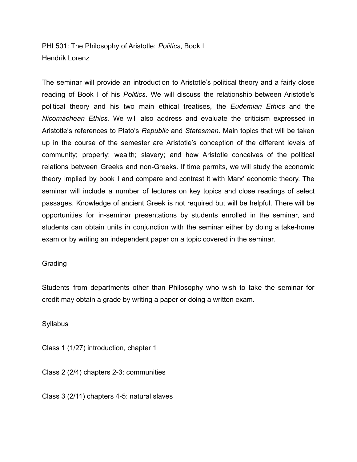PHI 501: The Philosophy of Aristotle: *Politics*, Book I Hendrik Lorenz

The seminar will provide an introduction to Aristotle's political theory and a fairly close reading of Book I of his *Politics*. We will discuss the relationship between Aristotle's political theory and his two main ethical treatises, the *Eudemian Ethics* and the *Nicomachean Ethics.* We will also address and evaluate the criticism expressed in Aristotle's references to Plato's *Republic* and *Statesman.* Main topics that will be taken up in the course of the semester are Aristotle's conception of the different levels of community; property; wealth; slavery; and how Aristotle conceives of the political relations between Greeks and non-Greeks. If time permits, we will study the economic theory implied by book I and compare and contrast it with Marx' economic theory. The seminar will include a number of lectures on key topics and close readings of select passages. Knowledge of ancient Greek is not required but will be helpful. There will be opportunities for in-seminar presentations by students enrolled in the seminar, and students can obtain units in conjunction with the seminar either by doing a take-home exam or by writing an independent paper on a topic covered in the seminar.

## Grading

Students from departments other than Philosophy who wish to take the seminar for credit may obtain a grade by writing a paper or doing a written exam.

**Syllabus** 

Class 1 (1/27) introduction, chapter 1

Class 2 (2/4) chapters 2-3: communities

Class 3 (2/11) chapters 4-5: natural slaves